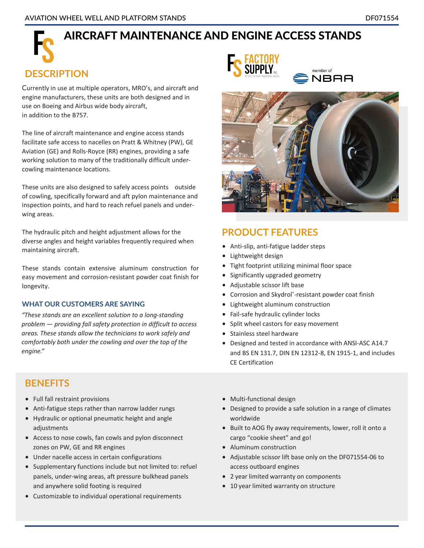# AIRCRAFT MAINTENANCE AND ENGINE ACCESS STANDS

#### **DESCRIPTION**

Currently in use at multiple operators, MRO's, and aircraft and engine manufacturers, these units are both designed and in use on Boeing and Airbus wide body aircraft, in addition to the B757.

The line of aircraft maintenance and engine access stands facilitate safe access to nacelles on Pratt & Whitney (PW), GE Aviation (GE) and Rolls-Royce (RR) engines, providing a safe working solution to many of the traditionally difficult undercowling maintenance locations.

These units are also designed to safely access points outside of cowling, specifically forward and aft pylon maintenance and inspection points, and hard to reach refuel panels and underwing areas.

The hydraulic pitch and height adjustment allows for the diverse angles and height variables frequently required when maintaining aircraft.

These stands contain extensive aluminum construction for easy movement and corrosion-resistant powder coat finish for longevity.

#### **WHAT OUR CUSTOMERS ARE SAYING**

*"These stands are an excellent solution to a long-standing problem — providing fall safety protection in difficult to access areas. These stands allow the technicians to work safely and comfortably both under the cowling and over the top of the engine."*

#### **BENEFITS**

- Full fall restraint provisions
- Anti-fatigue steps rather than narrow ladder rungs
- Hydraulic or optional pneumatic height and angle adjustments
- Access to nose cowls, fan cowls and pylon disconnect zones on PW, GE and RR engines
- Under nacelle access in certain configurations
- Supplementary functions include but not limited to: refuel panels, under-wing areas, aft pressure bulkhead panels and anywhere solid footing is required
- Customizable to individual operational requirements





#### **PRODUCT FEATURES**

- Anti-slip, anti-fatigue ladder steps
- Lightweight design
- Tight footprint utilizing minimal floor space
- Significantly upgraded geometry
- Adjustable scissor lift base
- Corrosion and Skydrol®-resistant powder coat finish
- Lightweight aluminum construction
- Fail-safe hydraulic cylinder locks
- Split wheel castors for easy movement
- Stainless steel hardware
- Designed and tested in accordance with ANSI-ASC A14.7 and BS EN 131.7, DIN EN 12312-8, EN 1915-1, and includes CE Certification
- Multi-functional design
- Designed to provide a safe solution in a range of climates worldwide
- Built to AOG fly away requirements, lower, roll it onto a cargo "cookie sheet" and go!
- Aluminum construction
- Adjustable scissor lift base only on the DF071554-06 to access outboard engines
- 2 year limited warranty on components
- 10 year limited warranty on structure